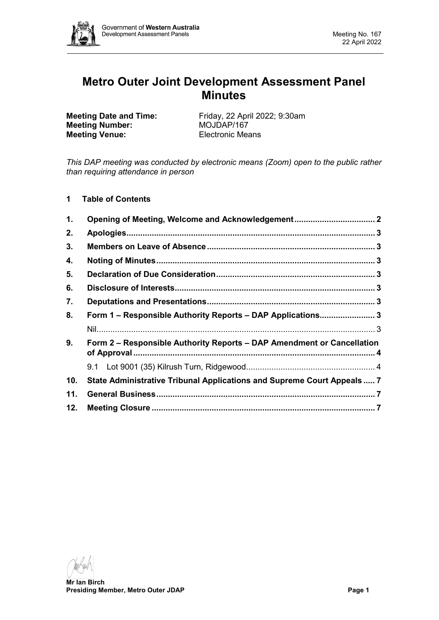

# **Metro Outer Joint Development Assessment Panel Minutes**

**Meeting Number: Meeting Venue:** Electronic Means

**Meeting Date and Time:** Friday, 22 April 2022; 9:30am<br> **Meeting Number:** MOJDAP/167

*This DAP meeting was conducted by electronic means (Zoom) open to the public rather than requiring attendance in person*

**1 Table of Contents**

| 1.  | Opening of Meeting, Welcome and Acknowledgement 2                       |  |  |  |  |
|-----|-------------------------------------------------------------------------|--|--|--|--|
| 2.  |                                                                         |  |  |  |  |
| 3.  |                                                                         |  |  |  |  |
| 4.  |                                                                         |  |  |  |  |
| 5.  |                                                                         |  |  |  |  |
| 6.  |                                                                         |  |  |  |  |
| 7.  |                                                                         |  |  |  |  |
| 8.  | Form 1 - Responsible Authority Reports - DAP Applications 3             |  |  |  |  |
|     |                                                                         |  |  |  |  |
| 9.  | Form 2 – Responsible Authority Reports – DAP Amendment or Cancellation  |  |  |  |  |
|     |                                                                         |  |  |  |  |
| 10. | State Administrative Tribunal Applications and Supreme Court Appeals  7 |  |  |  |  |
| 11. |                                                                         |  |  |  |  |
| 12. |                                                                         |  |  |  |  |

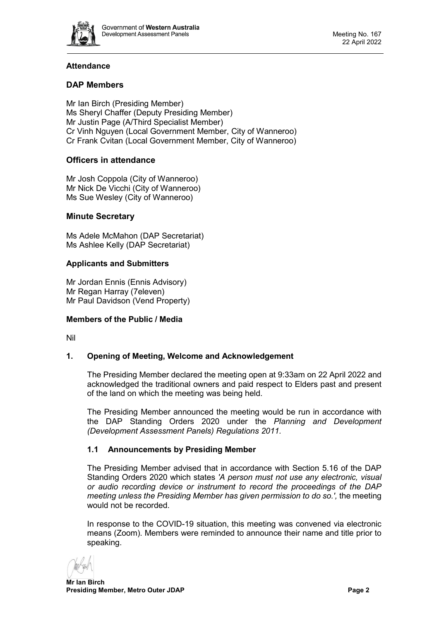

# **Attendance**

# **DAP Members**

Mr Ian Birch (Presiding Member) Ms Sheryl Chaffer (Deputy Presiding Member) Mr Justin Page (A/Third Specialist Member) Cr Vinh Nguyen (Local Government Member, City of Wanneroo) Cr Frank Cvitan (Local Government Member, City of Wanneroo)

# **Officers in attendance**

Mr Josh Coppola (City of Wanneroo) Mr Nick De Vicchi (City of Wanneroo) Ms Sue Wesley (City of Wanneroo)

### **Minute Secretary**

Ms Adele McMahon (DAP Secretariat) Ms Ashlee Kelly (DAP Secretariat)

### **Applicants and Submitters**

Mr Jordan Ennis (Ennis Advisory) Mr Regan Harray (7eleven) Mr Paul Davidson (Vend Property)

### **Members of the Public / Media**

<span id="page-1-0"></span>Nil

### **1. Opening of Meeting, Welcome and Acknowledgement**

The Presiding Member declared the meeting open at 9:33am on 22 April 2022 and acknowledged the traditional owners and paid respect to Elders past and present of the land on which the meeting was being held.

The Presiding Member announced the meeting would be run in accordance with the DAP Standing Orders 2020 under the *Planning and Development (Development Assessment Panels) Regulations 2011.*

### **1.1 Announcements by Presiding Member**

The Presiding Member advised that in accordance with Section 5.16 of the DAP Standing Orders 2020 which states *'A person must not use any electronic, visual or audio recording device or instrument to record the proceedings of the DAP meeting unless the Presiding Member has given permission to do so.',* the meeting would not be recorded.

In response to the COVID-19 situation, this meeting was convened via electronic means (Zoom). Members were reminded to announce their name and title prior to speaking.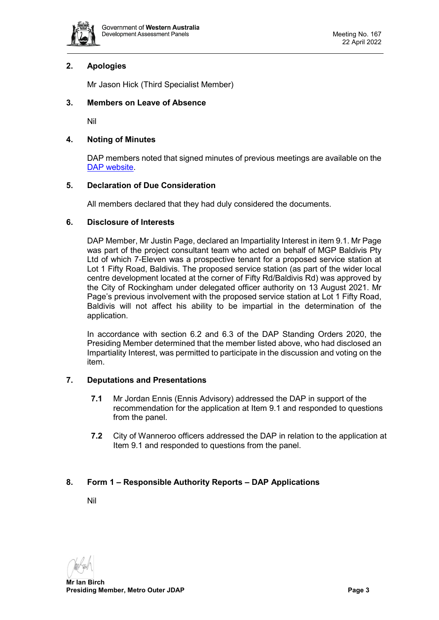

## <span id="page-2-0"></span>**2. Apologies**

Mr Jason Hick (Third Specialist Member)

### <span id="page-2-1"></span>**3. Members on Leave of Absence**

Nil

### <span id="page-2-2"></span>**4. Noting of Minutes**

DAP members noted that signed minutes of previous meetings are available on the [DAP website.](https://www.dplh.wa.gov.au/about/development-assessment-panels/daps-agendas-and-minutes)

### <span id="page-2-3"></span>**5. Declaration of Due Consideration**

All members declared that they had duly considered the documents.

#### <span id="page-2-4"></span>**6. Disclosure of Interests**

DAP Member, Mr Justin Page, declared an Impartiality Interest in item 9.1. Mr Page was part of the project consultant team who acted on behalf of MGP Baldivis Pty Ltd of which 7-Eleven was a prospective tenant for a proposed service station at Lot 1 Fifty Road, Baldivis. The proposed service station (as part of the wider local centre development located at the corner of Fifty Rd/Baldivis Rd) was approved by the City of Rockingham under delegated officer authority on 13 August 2021. Mr Page's previous involvement with the proposed service station at Lot 1 Fifty Road, Baldivis will not affect his ability to be impartial in the determination of the application.

In accordance with section 6.2 and 6.3 of the DAP Standing Orders 2020, the Presiding Member determined that the member listed above, who had disclosed an Impartiality Interest, was permitted to participate in the discussion and voting on the item.

### <span id="page-2-5"></span>**7. Deputations and Presentations**

- **7.1** Mr Jordan Ennis (Ennis Advisory) addressed the DAP in support of the recommendation for the application at Item 9.1 and responded to questions from the panel.
- **7.2** City of Wanneroo officers addressed the DAP in relation to the application at Item 9.1 and responded to questions from the panel.

### <span id="page-2-7"></span><span id="page-2-6"></span>**8. Form 1 – Responsible Authority Reports – DAP Applications**

Nil

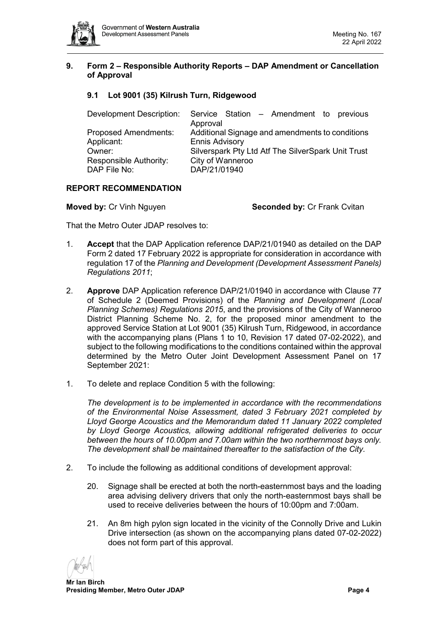

#### <span id="page-3-0"></span>**9. Form 2 – Responsible Authority Reports – DAP Amendment or Cancellation of Approval**

# <span id="page-3-1"></span>**9.1 Lot 9001 (35) Kilrush Turn, Ridgewood**

| Development Description:    | Service Station – Amendment to previous            |
|-----------------------------|----------------------------------------------------|
|                             | Approval                                           |
| <b>Proposed Amendments:</b> | Additional Signage and amendments to conditions    |
| Applicant:                  | <b>Ennis Advisory</b>                              |
| Owner:                      | Silverspark Pty Ltd Atf The SilverSpark Unit Trust |
| Responsible Authority:      | City of Wanneroo                                   |
| DAP File No:                | DAP/21/01940                                       |
|                             |                                                    |

#### **REPORT RECOMMENDATION**

**Moved by:** Cr Vinh Nguyen **Seconded by:** Cr Frank Cvitan

That the Metro Outer JDAP resolves to:

- 1. **Accept** that the DAP Application reference DAP/21/01940 as detailed on the DAP Form 2 dated 17 February 2022 is appropriate for consideration in accordance with regulation 17 of the *Planning and Development (Development Assessment Panels) Regulations 2011*;
- 2. **Approve** DAP Application reference DAP/21/01940 in accordance with Clause 77 of Schedule 2 (Deemed Provisions) of the *Planning and Development (Local Planning Schemes) Regulations 2015*, and the provisions of the City of Wanneroo District Planning Scheme No. 2, for the proposed minor amendment to the approved Service Station at Lot 9001 (35) Kilrush Turn, Ridgewood, in accordance with the accompanying plans (Plans 1 to 10, Revision 17 dated 07-02-2022), and subject to the following modifications to the conditions contained within the approval determined by the Metro Outer Joint Development Assessment Panel on 17 September 2021:
- 1. To delete and replace Condition 5 with the following:

*The development is to be implemented in accordance with the recommendations of the Environmental Noise Assessment, dated 3 February 2021 completed by Lloyd George Acoustics and the Memorandum dated 11 January 2022 completed by Lloyd George Acoustics, allowing additional refrigerated deliveries to occur between the hours of 10.00pm and 7.00am within the two northernmost bays only. The development shall be maintained thereafter to the satisfaction of the City.*

- 2. To include the following as additional conditions of development approval:
	- 20. Signage shall be erected at both the north-easternmost bays and the loading area advising delivery drivers that only the north-easternmost bays shall be used to receive deliveries between the hours of 10:00pm and 7:00am.
	- 21. An 8m high pylon sign located in the vicinity of the Connolly Drive and Lukin Drive intersection (as shown on the accompanying plans dated 07-02-2022) does not form part of this approval.

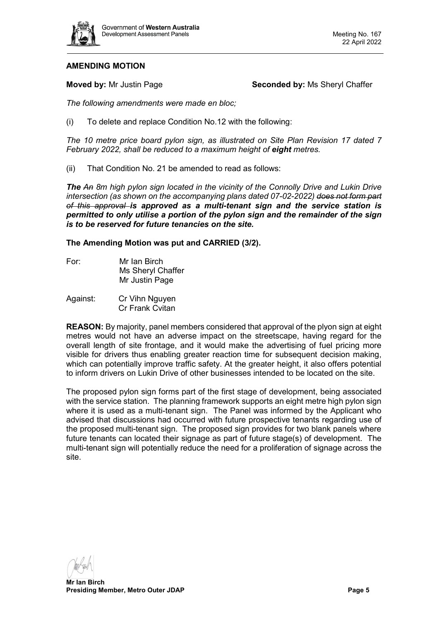

### **AMENDING MOTION**

**Moved by:** Mr Justin Page **Seconded by:** Ms Sheryl Chaffer

*The following amendments were made en bloc;*

(i) To delete and replace Condition No.12 with the following:

*The 10 metre price board pylon sign, as illustrated on Site Plan Revision 17 dated 7 February 2022, shall be reduced to a maximum height of eight metres.*

(ii) That Condition No. 21 be amended to read as follows:

*The An 8m high pylon sign located in the vicinity of the Connolly Drive and Lukin Drive intersection (as shown on the accompanying plans dated 07-02-2022) does not form part of this approval is approved as a multi-tenant sign and the service station is permitted to only utilise a portion of the pylon sign and the remainder of the sign is to be reserved for future tenancies on the site.*

**The Amending Motion was put and CARRIED (3/2).**

- For: Mr Ian Birch Ms Sheryl Chaffer Mr Justin Page
- Against: Cr Vihn Nguyen Cr Frank Cvitan

**REASON:** By majority, panel members considered that approval of the plyon sign at eight metres would not have an adverse impact on the streetscape, having regard for the overall length of site frontage, and it would make the advertising of fuel pricing more visible for drivers thus enabling greater reaction time for subsequent decision making, which can potentially improve traffic safety. At the greater height, it also offers potential to inform drivers on Lukin Drive of other businesses intended to be located on the site.

The proposed pylon sign forms part of the first stage of development, being associated with the service station. The planning framework supports an eight metre high pylon sign where it is used as a multi-tenant sign. The Panel was informed by the Applicant who advised that discussions had occurred with future prospective tenants regarding use of the proposed multi-tenant sign. The proposed sign provides for two blank panels where future tenants can located their signage as part of future stage(s) of development. The multi-tenant sign will potentially reduce the need for a proliferation of signage across the site.

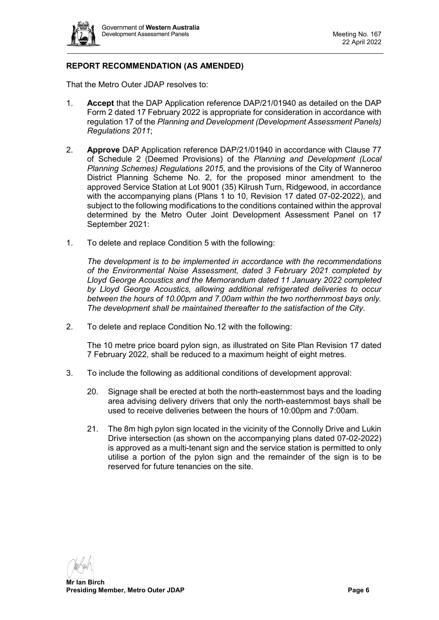

# **REPORT RECOMMENDATION (AS AMENDED)**

That the Metro Outer JDAP resolves to:

- 1. **Accept** that the DAP Application reference DAP/21/01940 as detailed on the DAP Form 2 dated 17 February 2022 is appropriate for consideration in accordance with regulation 17 of the *Planning and Development (Development Assessment Panels) Regulations 2011*;
- 2. **Approve** DAP Application reference DAP/21/01940 in accordance with Clause 77 of Schedule 2 (Deemed Provisions) of the *Planning and Development (Local Planning Schemes) Regulations 2015*, and the provisions of the City of Wanneroo District Planning Scheme No. 2, for the proposed minor amendment to the approved Service Station at Lot 9001 (35) Kilrush Turn, Ridgewood, in accordance with the accompanying plans (Plans 1 to 10, Revision 17 dated 07-02-2022), and subject to the following modifications to the conditions contained within the approval determined by the Metro Outer Joint Development Assessment Panel on 17 September 2021:
- 1. To delete and replace Condition 5 with the following:

*The development is to be implemented in accordance with the recommendations of the Environmental Noise Assessment, dated 3 February 2021 completed by Lloyd George Acoustics and the Memorandum dated 11 January 2022 completed by Lloyd George Acoustics, allowing additional refrigerated deliveries to occur between the hours of 10.00pm and 7.00am within the two northernmost bays only. The development shall be maintained thereafter to the satisfaction of the City.*

2. To delete and replace Condition No.12 with the following:

The 10 metre price board pylon sign, as illustrated on Site Plan Revision 17 dated 7 February 2022, shall be reduced to a maximum height of eight metres.

- 3. To include the following as additional conditions of development approval:
	- 20. Signage shall be erected at both the north-easternmost bays and the loading area advising delivery drivers that only the north-easternmost bays shall be used to receive deliveries between the hours of 10:00pm and 7:00am.
	- 21. The 8m high pylon sign located in the vicinity of the Connolly Drive and Lukin Drive intersection (as shown on the accompanying plans dated 07-02-2022) is approved as a multi-tenant sign and the service station is permitted to only utilise a portion of the pylon sign and the remainder of the sign is to be reserved for future tenancies on the site.